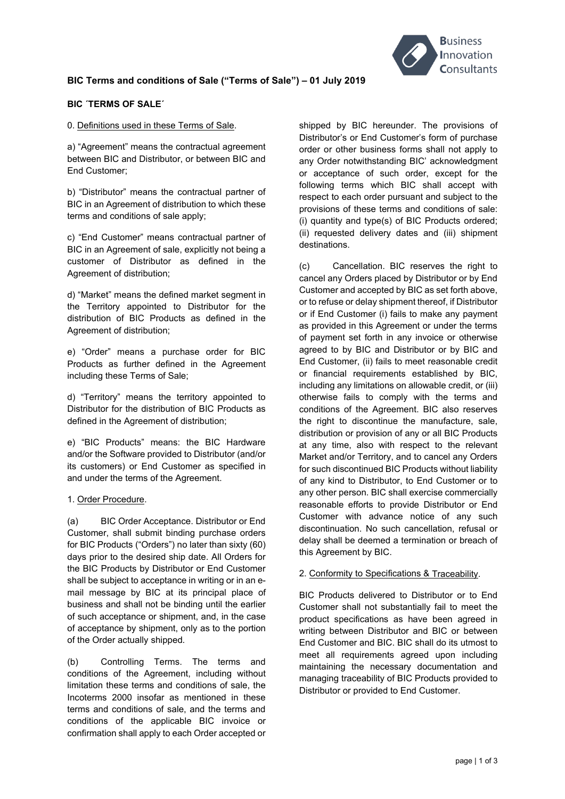

# **BIC Terms and conditions of Sale ("Terms of Sale") – 01 July 2019**

## **BIC ´TERMS OF SALE´**

0. Definitions used in these Terms of Sale.

a) "Agreement" means the contractual agreement between BIC and Distributor, or between BIC and End Customer;

b) "Distributor" means the contractual partner of BIC in an Agreement of distribution to which these terms and conditions of sale apply;

c) "End Customer" means contractual partner of BIC in an Agreement of sale, explicitly not being a customer of Distributor as defined in the Agreement of distribution;

d) "Market" means the defined market segment in the Territory appointed to Distributor for the distribution of BIC Products as defined in the Agreement of distribution;

e) "Order" means a purchase order for BIC Products as further defined in the Agreement including these Terms of Sale;

d) "Territory" means the territory appointed to Distributor for the distribution of BIC Products as defined in the Agreement of distribution;

e) "BIC Products" means: the BIC Hardware and/or the Software provided to Distributor (and/or its customers) or End Customer as specified in and under the terms of the Agreement.

#### 1. Order Procedure.

(a) BIC Order Acceptance. Distributor or End Customer, shall submit binding purchase orders for BIC Products ("Orders") no later than sixty (60) days prior to the desired ship date. All Orders for the BIC Products by Distributor or End Customer shall be subject to acceptance in writing or in an email message by BIC at its principal place of business and shall not be binding until the earlier of such acceptance or shipment, and, in the case of acceptance by shipment, only as to the portion of the Order actually shipped.

(b) Controlling Terms. The terms and conditions of the Agreement, including without limitation these terms and conditions of sale, the Incoterms 2000 insofar as mentioned in these terms and conditions of sale, and the terms and conditions of the applicable BIC invoice or confirmation shall apply to each Order accepted or

shipped by BIC hereunder. The provisions of Distributor's or End Customer's form of purchase order or other business forms shall not apply to any Order notwithstanding BIC' acknowledgment or acceptance of such order, except for the following terms which BIC shall accept with respect to each order pursuant and subject to the provisions of these terms and conditions of sale: (i) quantity and type(s) of BIC Products ordered; (ii) requested delivery dates and (iii) shipment destinations.

(c) Cancellation. BIC reserves the right to cancel any Orders placed by Distributor or by End Customer and accepted by BIC as set forth above, or to refuse or delay shipment thereof, if Distributor or if End Customer (i) fails to make any payment as provided in this Agreement or under the terms of payment set forth in any invoice or otherwise agreed to by BIC and Distributor or by BIC and End Customer, (ii) fails to meet reasonable credit or financial requirements established by BIC, including any limitations on allowable credit, or (iii) otherwise fails to comply with the terms and conditions of the Agreement. BIC also reserves the right to discontinue the manufacture, sale, distribution or provision of any or all BIC Products at any time, also with respect to the relevant Market and/or Territory, and to cancel any Orders for such discontinued BIC Products without liability of any kind to Distributor, to End Customer or to any other person. BIC shall exercise commercially reasonable efforts to provide Distributor or End Customer with advance notice of any such discontinuation. No such cancellation, refusal or delay shall be deemed a termination or breach of this Agreement by BIC.

#### 2. Conformity to Specifications & Traceability.

BIC Products delivered to Distributor or to End Customer shall not substantially fail to meet the product specifications as have been agreed in writing between Distributor and BIC or between End Customer and BIC. BIC shall do its utmost to meet all requirements agreed upon including maintaining the necessary documentation and managing traceability of BIC Products provided to Distributor or provided to End Customer.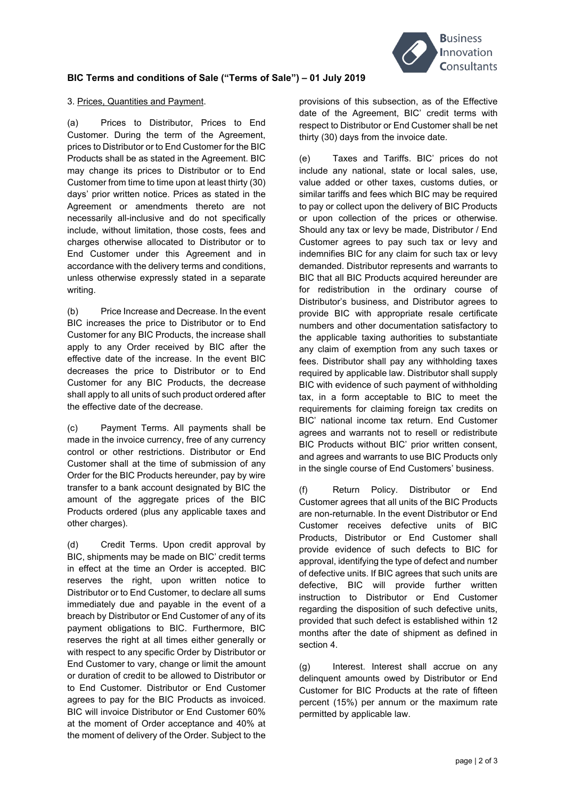

# **BIC Terms and conditions of Sale ("Terms of Sale") – 01 July 2019**

### 3. Prices, Quantities and Payment.

(a) Prices to Distributor, Prices to End Customer. During the term of the Agreement, prices to Distributor or to End Customer for the BIC Products shall be as stated in the Agreement. BIC may change its prices to Distributor or to End Customer from time to time upon at least thirty (30) days' prior written notice. Prices as stated in the Agreement or amendments thereto are not necessarily all-inclusive and do not specifically include, without limitation, those costs, fees and charges otherwise allocated to Distributor or to End Customer under this Agreement and in accordance with the delivery terms and conditions, unless otherwise expressly stated in a separate writing.

(b) Price Increase and Decrease. In the event BIC increases the price to Distributor or to End Customer for any BIC Products, the increase shall apply to any Order received by BIC after the effective date of the increase. In the event BIC decreases the price to Distributor or to End Customer for any BIC Products, the decrease shall apply to all units of such product ordered after the effective date of the decrease.

(c) Payment Terms. All payments shall be made in the invoice currency, free of any currency control or other restrictions. Distributor or End Customer shall at the time of submission of any Order for the BIC Products hereunder, pay by wire transfer to a bank account designated by BIC the amount of the aggregate prices of the BIC Products ordered (plus any applicable taxes and other charges).

(d) Credit Terms. Upon credit approval by BIC, shipments may be made on BIC' credit terms in effect at the time an Order is accepted. BIC reserves the right, upon written notice to Distributor or to End Customer, to declare all sums immediately due and payable in the event of a breach by Distributor or End Customer of any of its payment obligations to BIC. Furthermore, BIC reserves the right at all times either generally or with respect to any specific Order by Distributor or End Customer to vary, change or limit the amount or duration of credit to be allowed to Distributor or to End Customer. Distributor or End Customer agrees to pay for the BIC Products as invoiced. BIC will invoice Distributor or End Customer 60% at the moment of Order acceptance and 40% at the moment of delivery of the Order. Subject to the provisions of this subsection, as of the Effective date of the Agreement, BIC' credit terms with respect to Distributor or End Customer shall be net thirty (30) days from the invoice date.

(e) Taxes and Tariffs. BIC' prices do not include any national, state or local sales, use, value added or other taxes, customs duties, or similar tariffs and fees which BIC may be required to pay or collect upon the delivery of BIC Products or upon collection of the prices or otherwise. Should any tax or levy be made, Distributor / End Customer agrees to pay such tax or levy and indemnifies BIC for any claim for such tax or levy demanded. Distributor represents and warrants to BIC that all BIC Products acquired hereunder are for redistribution in the ordinary course of Distributor's business, and Distributor agrees to provide BIC with appropriate resale certificate numbers and other documentation satisfactory to the applicable taxing authorities to substantiate any claim of exemption from any such taxes or fees. Distributor shall pay any withholding taxes required by applicable law. Distributor shall supply BIC with evidence of such payment of withholding tax, in a form acceptable to BIC to meet the requirements for claiming foreign tax credits on BIC' national income tax return. End Customer agrees and warrants not to resell or redistribute BIC Products without BIC' prior written consent, and agrees and warrants to use BIC Products only in the single course of End Customers' business.

(f) Return Policy. Distributor or End Customer agrees that all units of the BIC Products are non-returnable. In the event Distributor or End Customer receives defective units of BIC Products, Distributor or End Customer shall provide evidence of such defects to BIC for approval, identifying the type of defect and number of defective units. If BIC agrees that such units are defective, BIC will provide further written instruction to Distributor or End Customer regarding the disposition of such defective units, provided that such defect is established within 12 months after the date of shipment as defined in section 4.

(g) Interest. Interest shall accrue on any delinquent amounts owed by Distributor or End Customer for BIC Products at the rate of fifteen percent (15%) per annum or the maximum rate permitted by applicable law.